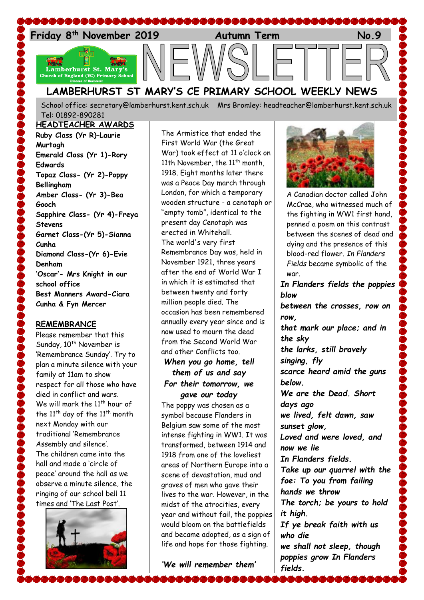

School office: [secretary@lamberhurst.kent.sch.uk](mailto:secretary@lamberhurst.kent.sch.uk) Mrs Bromley: headteacher@lamberhurst.kent.sch.uk Tel: 01892-890281

**HEADTEACHER AWARDS Ruby Class (Yr R)–Laurie Murtagh Emerald Class (Yr 1)-Rory Edwards Topaz Class- (Yr 2)-Poppy Bellingham Amber Class- (Yr 3)-Bea Gooch Sapphire Class- (Yr 4)-Freya Stevens Garnet Class-(Yr 5)-Sianna Cunha Diamond Class-(Yr 6)-Evie Denham 'Oscar'- Mrs Knight in our school office Best Manners Award-Ciara Cunha & Fyn Mercer**

#### **REMEMBRANCE**

Please remember that this Sunday,  $10^{th}$  November is 'Remembrance Sunday'. Try to plan a minute silence with your family at 11am to show respect for all those who have died in conflict and wars. We will mark the  $11^{th}$  hour of the  $11<sup>th</sup>$  day of the  $11<sup>th</sup>$  month next Monday with our traditional 'Remembrance Assembly and silence'. The children came into the hall and made a 'circle of peace' around the hall as we observe a minute silence, the ringing of our school bell 11 times and 'The Last Post'.



The Armistice that ended the First World War (the Great War) took effect at 11 o'clock on 11th November, the 11<sup>th</sup> month, 1918. Eight months later there was a Peace Day march through London, for which a temporary wooden structure - a cenotaph or "empty tomb", identical to the present day Cenotaph was erected in Whitehall. The world's very first Remembrance Day was, held in November 1921, three years after the end of World War I in which it is estimated that between twenty and forty million people died. The occasion has been remembered annually every year since and is now used to mourn the dead from the Second World War and other Conflicts too.

# *When you go home, tell them of us and say For their tomorrow, we gave our today*

The poppy was chosen as a symbol because Flanders in Belgium saw some of the most intense fighting in WW1. It was transformed, between 1914 and 1918 from one of the loveliest areas of Northern Europe into a scene of devastation, mud and graves of men who gave their lives to the war. However, in the midst of the atrocities, every year and without fail, the poppies would bloom on the battlefields and became adopted, as a sign of life and hope for those fighting.

*'We will remember them'*



A Canadian doctor called John McCrae, who witnessed much of the fighting in WW1 first hand, penned a poem on this contrast between the scenes of dead and dying and the presence of this blood-red flower. *[In Flanders](http://www.greatwar.co.uk/poems/john-mccrae-in-flanders-fields.htm)  [Fields](http://www.greatwar.co.uk/poems/john-mccrae-in-flanders-fields.htm)* became symbolic of the war.

*In Flanders fields the poppies blow*

*between the crosses, row on row,* 

*that mark our place; and in the sky*

*the larks, still bravely singing, fly scarce heard amid the guns below.*

*We are the Dead. Short days ago we lived, felt dawn, saw* 

*sunset glow,* 

*Loved and were loved, and now we lie*

*In Flanders fields. Take up our quarrel with the foe: To you from failing hands we throw* 

*The torch; be yours to hold it high.*

*If ye break faith with us who die*

*we shall not sleep, though poppies grow In Flanders fields.*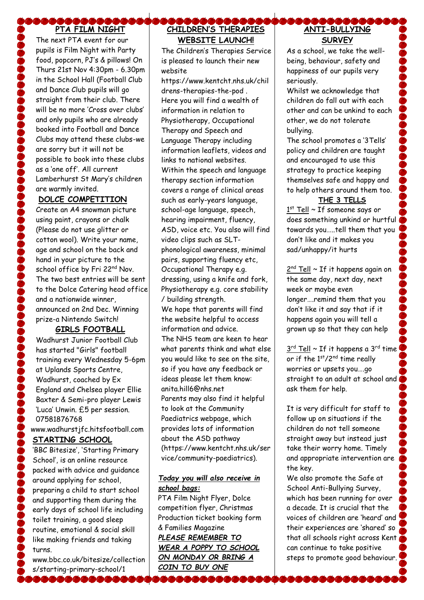# **PTA FILM NIGHT**

The next PTA event for our pupils is Film Night with Party food, popcorn, PJ's & pillows! On Thurs 21st Nov 4:30pm - 6.30pm in the School Hall (Football Club and Dance Club pupils will go straight from their club. There will be no more 'Cross over clubs' and only pupils who are already booked into Football and Dance Clubs may attend these clubs-we are sorry but it will not be possible to book into these clubs as a 'one off'. All current Lamberhurst St Mary's children are warmly invited.

## **DOLCE COMPETITION**

Create an A4 snowman picture using paint, crayons or chalk (Please do not use glitter or cotton wool). Write your name, age and school on the back and hand in your picture to the school office by Fri 22<sup>nd</sup> Nov. The two best entries will be sent to the Dolce Catering head office and a nationwide winner, announced on 2nd Dec. Winning prize-a Nintendo Switch!

# **GIRLS FOOTBALL**

Wadhurst Junior Football Club has started "Girls" football training every Wednesday 5-6pm at Uplands Sports Centre, Wadhurst, coached by Ex England and Chelsea player Ellie Baxter & Semi-pro player Lewis 'Luca' Unwin. £5 per session. 07581876768 www.wadhurstjfc.hitsfootball.com **STARTING SCHOOL**  'BBC Bitesize', 'Starting Primary School', is an online resource

packed with advice and guidance around applying for school, preparing a child to start school and supporting them during the early days of school life including toilet training, a good sleep routine, emotional & social skill like making friends and taking turns.

www.bbc.co.uk/bitesize/collection s/starting-primary-school/1

,,,,,,,,,,,,

#### **COCOCOCO CHILDREN'S THERAPIES WEBSITE LAUNCH!**

The Children's Therapies Service is pleased to launch their new website

https://www.kentcht.nhs.uk/chil drens-therapies-the-pod . Here you will find a wealth of information in relation to Physiotherapy, Occupational Therapy and Speech and Language Therapy including information leaflets, videos and links to national websites. Within the speech and language therapy section information covers a range of clinical areas such as early-years language, school-age language, speech, hearing impairment, fluency, ASD, voice etc. You also will find video clips such as SLTphonological awareness, minimal pairs, supporting fluency etc, Occupational Therapy e.g. dressing, using a knife and fork, Physiotherapy e.g. core stability / building strength. We hope that parents will find the website helpful to access information and advice. The NHS team are keen to hear what parents think and what else you would like to see on the site, so if you have any feedback or ideas please let them know: anita.hill6@nhs.net Parents may also find it helpful to look at the Community Paediatrics webpage, which provides lots of information about the ASD pathway (https://www.kentcht.nhs.uk/ser vice/community-paediatrics).

# *Today you will also receive in school bags:*

PTA Film Night Flyer, Dolce competition flyer, Christmas Production ticket booking form & Families Magazine *PLEASE REMEMBER TO WEAR A POPPY TO SCHOOL ON MONDAY OR BRING A COIN TO BUY ONE*

## **COOC ANTI-BULLYING SURVEY**

As a school, we take the wellbeing, behaviour, safety and happiness of our pupils very seriously.

Whilst we acknowledge that children do fall out with each other and can be unkind to each other, we do not tolerate bullying.

The school promotes a '3Tells' policy and children are taught and encouraged to use this strategy to practice keeping themselves safe and happy and to help others around them too.

### **THE 3 TELLS**

 $1<sup>st</sup>$  Tell ~ If someone says or does something unkind or hurtful towards you…..tell them that you don't like and it makes you sad/unhappy/it hurts

2<sup>nd</sup> Tell ~ If it happens again on the same day, next day, next week or maybe even longer….remind them that you don't like it and say that if it happens again you will tell a grown up so that they can help

 $3^{\text{rd}}$  Tell ~ If it happens a 3<sup>rd</sup> time or if the 1<sup>st</sup>/2<sup>nd</sup> time really worries or upsets you….go straight to an adult at school and ask them for help.

It is very difficult for staff to follow up on situations if the children do not tell someone straight away but instead just take their worry home. Timely and appropriate intervention are the key.

We also promote the Safe at School Anti-Bullying Survey, which has been running for over a decade. It is crucial that the voices of children are 'heard' and their experiences are 'shared' so that all schools right across Kent can continue to take positive steps to promote good behaviour.